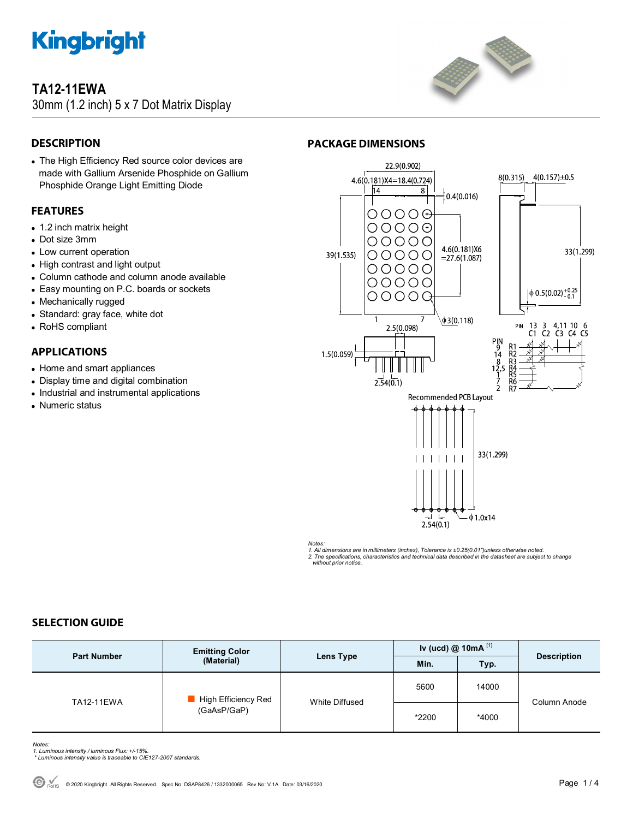

## **TA12-11EWA**

30mm (1.2 inch) 5 x 7 Dot Matrix Display



### **DESCRIPTION**

 The High Efficiency Red source color devices are made with Gallium Arsenide Phosphide on Gallium Phosphide Orange Light Emitting Diode

#### **FEATURES**

- 1.2 inch matrix height
- Dot size 3mm
- Low current operation
- High contrast and light output
- Column cathode and column anode available
- Easy mounting on P.C. boards or sockets
- Mechanically rugged
- Standard: gray face, white dot
- RoHS compliant

#### **APPLICATIONS**

- Home and smart appliances
- Display time and digital combination
- Industrial and instrumental applications
- Numeric status

### **PACKAGE DIMENSIONS**



*Notes:* 

*1. All dimensions are in millimeters (inches), Tolerance is ±0.25(0.01")unless otherwise noted. 2. The specifications, characteristics and technical data described in the datasheet are subject to change without prior notice.* 

#### **SELECTION GUIDE**

| <b>Part Number</b> | <b>Emitting Color</b><br>(Material) | Lens Type      | Iv (ucd) $@$ 10mA $^{[1]}$ |       |                    |
|--------------------|-------------------------------------|----------------|----------------------------|-------|--------------------|
|                    |                                     |                | Min.                       | Typ.  | <b>Description</b> |
| <b>TA12-11EWA</b>  | High Efficiency Red<br>(GaAsP/GaP)  | White Diffused | 5600                       | 14000 | Column Anode       |
|                    |                                     |                | *2200                      | *4000 |                    |

- *Notes: 1. Luminous intensity / luminous Flux: +/-15%.*
- *\* Luminous intensity value is traceable to CIE127-2007 standards.*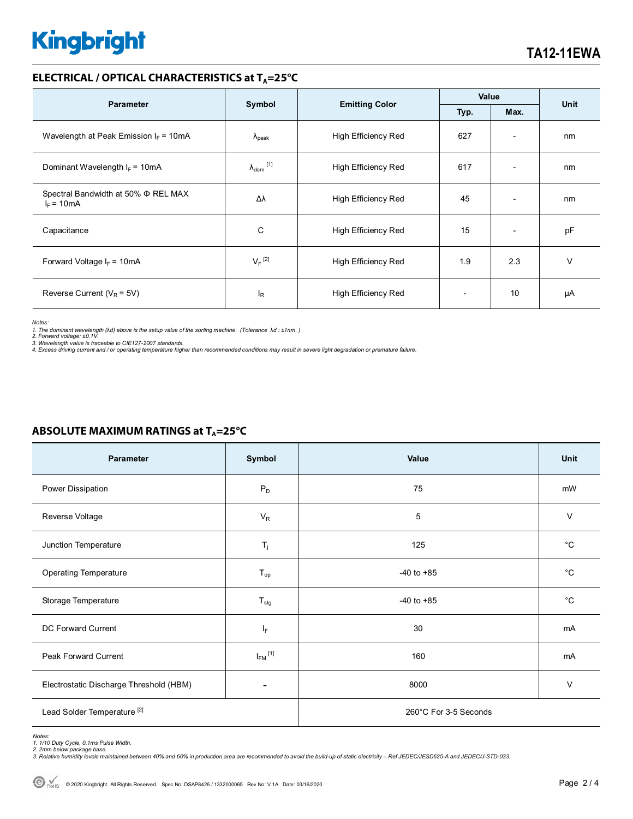# **Kingbright**

#### **ELECTRICAL / OPTICAL CHARACTERISTICS at T<sub>A</sub>=25°C**

|                                                     | Symbol                       |                            | Value |                          |      |
|-----------------------------------------------------|------------------------------|----------------------------|-------|--------------------------|------|
| <b>Parameter</b>                                    |                              | <b>Emitting Color</b>      | Typ.  | Max.                     | Unit |
| Wavelength at Peak Emission $I_F = 10mA$            | $\Lambda_{\rm peak}$         | <b>High Efficiency Red</b> | 627   | $\overline{\phantom{a}}$ | nm   |
| Dominant Wavelength $I_F = 10mA$                    | $\lambda_{\mathsf{dom}}$ [1] | <b>High Efficiency Red</b> | 617   | $\overline{\phantom{a}}$ | nm   |
| Spectral Bandwidth at 50% Φ REL MAX<br>$I_F = 10mA$ | Δλ                           | <b>High Efficiency Red</b> | 45    | $\overline{\phantom{a}}$ | nm   |
| Capacitance                                         | C                            | <b>High Efficiency Red</b> | 15    | $\overline{\phantom{a}}$ | pF   |
| Forward Voltage $I_F = 10mA$                        | $V_F$ <sup>[2]</sup>         | <b>High Efficiency Red</b> | 1.9   | 2.3                      | v    |
| Reverse Current ( $V_R$ = 5V)                       | $I_R$                        | <b>High Efficiency Red</b> |       | 10                       | μA   |

*Notes:* 

1. The dominant wavelength (λd) above is the setup value of the sorting machine. (Tolerance λd : ±1nm. )<br>2. Forward voltage: ±0.1V.<br>3. Wavelength value is traceable to CIE127-2007 standards.<br>4. Excess driving current and

| Parameter                               | Symbol                  | Value                 | <b>Unit</b>  |  |
|-----------------------------------------|-------------------------|-----------------------|--------------|--|
| Power Dissipation                       | $P_D$                   | 75                    | mW           |  |
| Reverse Voltage                         | $V_R$                   | 5                     | $\vee$       |  |
| Junction Temperature                    | $T_j$                   | 125                   | $^{\circ}C$  |  |
| <b>Operating Temperature</b>            | $T_{op}$                | $-40$ to $+85$        | $^{\circ}$ C |  |
| Storage Temperature                     | $T_{\text{stg}}$        | $-40$ to $+85$        | $^{\circ}C$  |  |
| DC Forward Current                      | $I_F$                   | 30                    | mA           |  |
| Peak Forward Current                    | $I_{FM}$ <sup>[1]</sup> | 160                   | mA           |  |
| Electrostatic Discharge Threshold (HBM) |                         | 8000                  | $\vee$       |  |
| Lead Solder Temperature <sup>[2]</sup>  |                         | 260°C For 3-5 Seconds |              |  |

#### **ABSOLUTE MAXIMUM RATINGS at T<sub>A</sub>=25°C**

Notes:<br>1. 1/10 Duty Cycle, 0.1ms Pulse Width.<br>2. 2mm below package base.<br>3. Relative humidity levels maintained between 40% and 60% in production area are recommended to avoid the build-up of static electricity – Ref JEDEC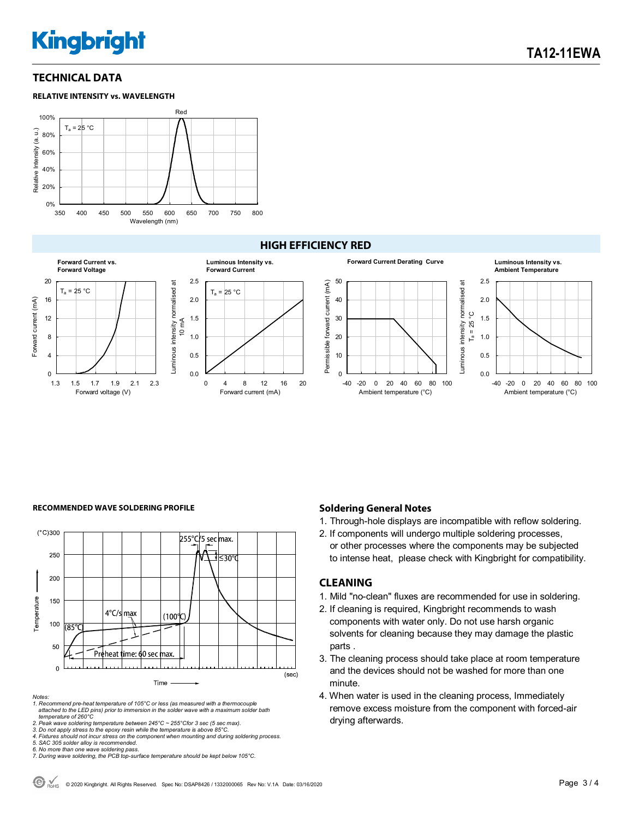# **Kingbright**

#### **TECHNICAL DATA**





#### **HIGH EFFICIENCY RED**



#### RECOMMENDED WAVE SOLDERING PROFILE **A CONDUCT A CONDUCT SOLDERING PROFILE Soldering General Notes**



*Notes:* 

*1. Recommend pre-heat temperature of 105°C or less (as measured with a thermocouple attached to the LED pins) prior to immersion in the solder wave with a maximum solder bath* 

 *temperature of 260°C 2. Peak wave soldering temperature between 245°C ~ 255°Cfor 3 sec (5 sec max).* 

*3. Do not apply stress to the epoxy resin while the temperature is above 85°C. 4. Fixtures should not incur stress on the component when mounting and during soldering process.* 

*5. SAC 305 solder alloy is recommended.* 

- 1. Through-hole displays are incompatible with reflow soldering.
- 2. If components will undergo multiple soldering processes, or other processes where the components may be subjected to intense heat, please check with Kingbright for compatibility.

#### **CLEANING**

- 1. Mild "no-clean" fluxes are recommended for use in soldering.
- 2. If cleaning is required, Kingbright recommends to wash components with water only. Do not use harsh organic solvents for cleaning because they may damage the plastic parts .
- 3. The cleaning process should take place at room temperature and the devices should not be washed for more than one minute.
- 4. When water is used in the cleaning process, Immediately remove excess moisture from the component with forced-air drying afterwards.

*<sup>6.</sup> No more than one wave soldering pass. 7. During wave soldering, the PCB top-surface temperature should be kept below 105°C.*